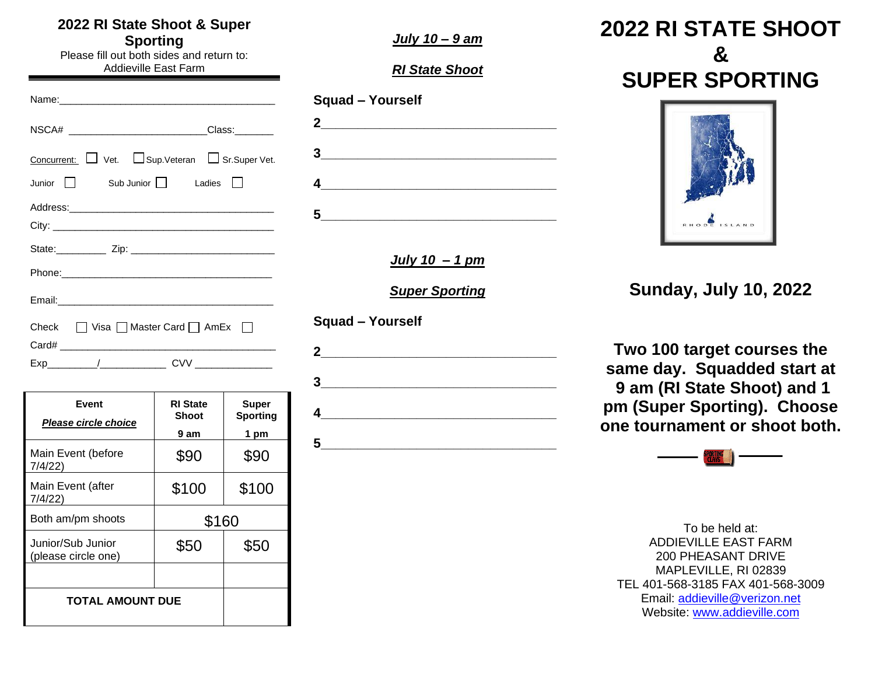#### **2022 RI State Shoot & Super Sporting**

Please fill out both sides and return to: Addieville East Farm

Name:\_\_\_\_\_\_\_\_\_\_\_\_\_\_\_\_\_\_\_\_\_\_\_\_\_\_\_\_\_\_\_\_\_\_\_\_\_\_\_ NSCA# \_\_\_\_\_\_\_\_\_\_\_\_\_\_\_\_\_\_\_\_\_\_\_\_\_\_\_\_Class:\_\_\_\_\_\_\_\_\_ Concurrent: Vet. Sup.Veteran Sr.Super Vet. Junior  $\Box$  Sub Junior  $\Box$  Ladies  $\Box$ Address:\_\_\_\_\_\_\_\_\_\_\_\_\_\_\_\_\_\_\_\_\_\_\_\_\_\_\_\_\_\_\_\_\_\_\_\_\_ City: \_\_\_\_\_\_\_\_\_\_\_\_\_\_\_\_\_\_\_\_\_\_\_\_\_\_\_\_\_\_\_\_\_\_\_\_\_\_\_\_ State:\_\_\_\_\_\_\_\_\_ Zip: \_\_\_\_\_\_\_\_\_\_\_\_\_\_\_\_\_\_\_\_\_\_\_\_\_\_ Phone:\_\_\_\_\_\_\_\_\_\_\_\_\_\_\_\_\_\_\_\_\_\_\_\_\_\_\_\_\_\_\_\_\_\_\_\_\_\_ Email:\_\_\_\_\_\_\_\_\_\_\_\_\_\_\_\_\_\_\_\_\_\_\_\_\_\_\_\_\_\_\_\_\_\_\_\_\_\_\_ Check  $\Box$  Visa  $\Box$  Master Card  $\Box$  AmEx  $\Box$ Card# \_\_\_\_\_\_\_\_\_\_\_\_\_\_\_\_\_\_\_\_\_\_\_\_\_\_\_\_\_\_\_\_\_\_\_\_\_\_\_

 $Exp$  cvv

**Event** *Please circle choice* **RI State Shoot 9 am Super Sporting 1 pm** Main Event (before 7/4/22)  $$90$   $$90$ Main Event (after 7/4/22)  $$100$   $$100$ Both am/pm shoots | \$160 Junior/Sub Junior (please circle one)  $$50$   $$50$ **TOTAL AMOUNT DUE**

*July 10 – 9 am*

*RI State Shoot*

| <b>Squad - Yourself</b>                                 |  |
|---------------------------------------------------------|--|
| $2_{-}$<br><u> 1989 - Andrea Andrew Maria (b. 1989)</u> |  |
| 3                                                       |  |
|                                                         |  |
| 5                                                       |  |

*July 10 – 1 pm*

*Super Sporting*

**Squad – Yourself**

**2\_\_\_\_\_\_\_\_\_\_\_\_\_\_\_\_\_\_\_\_\_\_\_\_\_\_\_\_\_\_\_\_ 3\_\_\_\_\_\_\_\_\_\_\_\_\_\_\_\_\_\_\_\_\_\_\_\_\_\_\_\_\_\_\_\_ 4\_\_\_\_\_\_\_\_\_\_\_\_\_\_\_\_\_\_\_\_\_\_\_\_\_\_\_\_\_\_\_\_ 5**  **2022 RI STATE SHOOT & SUPER SPORTING**



**Sunday, July 10, 2022**

**Two 100 target courses the same day. Squadded start at 9 am (RI State Shoot) and 1 pm (Super Sporting). Choose one tournament or shoot both.**



To be held at: ADDIEVILLE EAST FARM 200 PHEASANT DRIVE MAPLEVILLE, RI 02839 TEL 401-568-3185 FAX 401-568-3009 Email: [addieville@verizon.net](mailto:addieville@earthlink.net) Website: [www.addieville.com](http://www.addieville.com/)